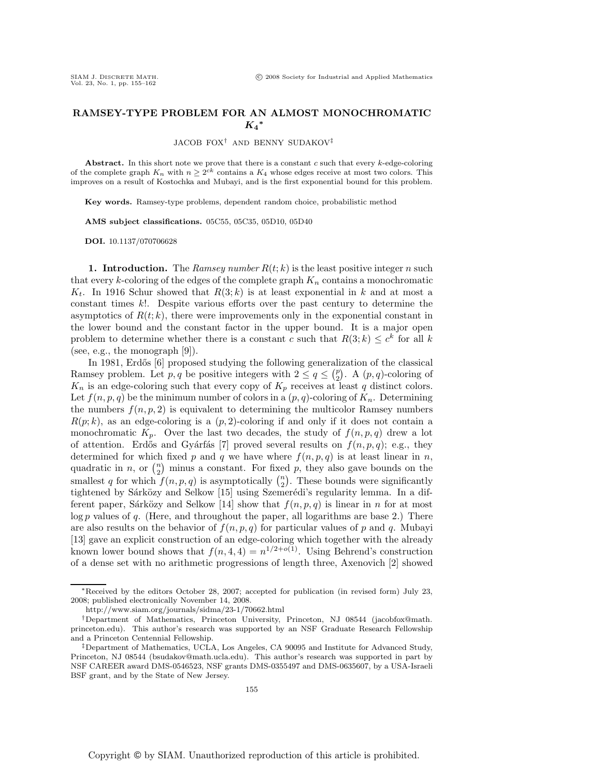## **RAMSEY-TYPE PROBLEM FOR AN ALMOST MONOCHROMATIC** *K***4***<sup>∗</sup>*

JACOB FOX<sup>†</sup> AND BENNY SUDAKOV<sup>‡</sup>

**Abstract.** In this short note we prove that there is a constant *c* such that every *k*-edge-coloring of the complete graph  $K_n$  with  $n \geq 2^{ck}$  contains a  $K_4$  whose edges receive at most two colors. This improves on a result of Kostochka and Mubayi, and is the first exponential bound for this problem.

**Key words.** Ramsey-type problems, dependent random choice, probabilistic method

**AMS subject classifications.** 05C55, 05C35, 05D10, 05D40

**DOI.** 10.1137/070706628

**1. Introduction.** The *Ramsey number*  $R(t; k)$  is the least positive integer n such that every  $k$ -coloring of the edges of the complete graph  $K_n$  contains a monochromatic  $K_t$ . In 1916 Schur showed that  $R(3; k)$  is at least exponential in k and at most a constant times k!. Despite various efforts over the past century to determine the asymptotics of  $R(t; k)$ , there were improvements only in the exponential constant in the lower bound and the constant factor in the upper bound. It is a major open problem to determine whether there is a constant c such that  $R(3; k) \leq c^k$  for all k (see, e.g., the monograph [9]).

In 1981, Erdős [6] proposed studying the following generalization of the classical Ramsey problem. Let p, q be positive integers with  $2 \le q \le {p \choose 2}$ . A  $(p, q)$ -coloring of  $K_n$  is an edge-coloring such that every copy of  $K_p$  receives at least q distinct colors. Let  $f(n, p, q)$  be the minimum number of colors in a  $(p, q)$ -coloring of  $K_n$ . Determining the numbers  $f(n, p, 2)$  is equivalent to determining the multicolor Ramsey numbers  $R(p; k)$ , as an edge-coloring is a  $(p, 2)$ -coloring if and only if it does not contain a monochromatic  $K_p$ . Over the last two decades, the study of  $f(n, p, q)$  drew a lot of attention. Erdős and Gyárfás [7] proved several results on  $f(n, p, q)$ ; e.g., they determined for which fixed p and q we have where  $f(n, p, q)$  is at least linear in n, quadratic in n, or  $\binom{n}{2}$  minus a constant. For fixed p, they also gave bounds on the smallest q for which  $f(n, p, q)$  is asymptotically  $\binom{n}{2}$ . These bounds were significantly tightened by Sárközy and Selkow [15] using Szemerédi's regularity lemma. In a different paper, Sárközy and Selkow [14] show that  $f(n, p, q)$  is linear in n for at most  $\log p$  values of q. (Here, and throughout the paper, all logarithms are base 2.) There are also results on the behavior of  $f(n, p, q)$  for particular values of p and q. Mubayi [13] gave an explicit construction of an edge-coloring which together with the already known lower bound shows that  $f(n, 4, 4) = n^{1/2+o(1)}$ . Using Behrend's construction of a dense set with no arithmetic progressions of length three, Axenovich [2] showed

<sup>∗</sup>Received by the editors October 28, 2007; accepted for publication (in revised form) July 23, 2008; published electronically November 14, 2008.

http://www.siam.org/journals/sidma/23-1/70662.html

<sup>†</sup>Department of Mathematics, Princeton University, Princeton, NJ 08544 (jacobfox@math. princeton.edu). This author's research was supported by an NSF Graduate Research Fellowship and a Princeton Centennial Fellowship.

<sup>‡</sup>Department of Mathematics, UCLA, Los Angeles, CA 90095 and Institute for Advanced Study, Princeton, NJ 08544 (bsudakov@math.ucla.edu). This author's research was supported in part by NSF CAREER award DMS-0546523, NSF grants DMS-0355497 and DMS-0635607, by a USA-Israeli BSF grant, and by the State of New Jersey.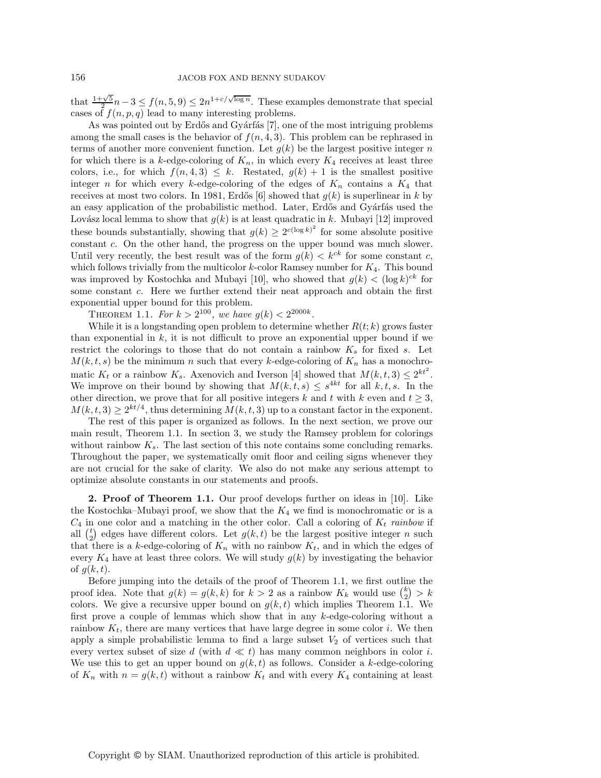that  $\frac{1+\sqrt{5}}{2}n-3 \le f(n, 5, 9) \le 2n^{1+c/\sqrt{\log n}}$ . These examples demonstrate that special cases of  $f(n, n, a)$  lead to many interesting problems cases of  $f(n, p, q)$  lead to many interesting problems.

As was pointed out by Erdős and Gyárfás [7], one of the most intriguing problems among the small cases is the behavior of  $f(n, 4, 3)$ . This problem can be rephrased in terms of another more convenient function. Let  $g(k)$  be the largest positive integer n for which there is a k-edge-coloring of  $K_n$ , in which every  $K_4$  receives at least three colors, i.e., for which  $f(n, 4, 3) \leq k$ . Restated,  $g(k) + 1$  is the smallest positive integer n for which every k-edge-coloring of the edges of  $K_n$  contains a  $K_4$  that receives at most two colors. In 1981, Erdős [6] showed that  $g(k)$  is superlinear in k by an easy application of the probabilistic method. Later, Erdős and Gyárfás used the Lovász local lemma to show that  $g(k)$  is at least quadratic in k. Mubayi [12] improved these bounds substantially, showing that  $g(k) \geq 2^{c(\log k)^2}$  for some absolute positive constant c. On the other hand, the progress on the upper bound was much slower. Until very recently, the best result was of the form  $g(k) < k^{ck}$  for some constant c, which follows trivially from the multicolor  $k$ -color Ramsey number for  $K_4$ . This bound was improved by Kostochka and Mubayi [10], who showed that  $g(k) < (\log k)^{ck}$  for some constant c. Here we further extend their neat approach and obtain the first exponential upper bound for this problem.

THEOREM 1.1. *For*  $k > 2^{100}$ *, we have*  $g(k) < 2^{2000k}$ *.* 

While it is a longstanding open problem to determine whether  $R(t; k)$  grows faster than exponential in  $k$ , it is not difficult to prove an exponential upper bound if we restrict the colorings to those that do not contain a rainbow  $K_s$  for fixed s. Let  $M(k, t, s)$  be the minimum n such that every k-edge-coloring of  $K_n$  has a monochromatic  $K_t$  or a rainbow  $K_s$ . Axenovich and Iverson [4] showed that  $M(k, t, 3) \leq 2^{kt^2}$ . We improve on their bound by showing that  $M(k, t, s) \leq s^{4kt}$  for all  $k, t, s$ . In the other direction, we prove that for all positive integers k and t with k even and  $t \geq 3$ ,  $M(k, t, 3) \geq 2^{kt/4}$ , thus determining  $M(k, t, 3)$  up to a constant factor in the exponent.

The rest of this paper is organized as follows. In the next section, we prove our main result, Theorem 1.1. In section 3, we study the Ramsey problem for colorings without rainbow  $K_s$ . The last section of this note contains some concluding remarks. Throughout the paper, we systematically omit floor and ceiling signs whenever they are not crucial for the sake of clarity. We also do not make any serious attempt to optimize absolute constants in our statements and proofs.

**2. Proof of Theorem 1.1.** Our proof develops further on ideas in [10]. Like the Kostochka–Mubayi proof, we show that the  $K_4$  we find is monochromatic or is a  $C_4$  in one color and a matching in the other color. Call a coloring of  $K_t$  *rainbow* if all  $\binom{t}{2}$  edges have different colors. Let  $g(k, t)$  be the largest positive integer n such that there is a k-edge-coloring of  $K_n$  with no rainbow  $K_t$ , and in which the edges of every  $K_4$  have at least three colors. We will study  $g(k)$  by investigating the behavior of  $q(k, t)$ .

Before jumping into the details of the proof of Theorem 1.1, we first outline the proof idea. Note that  $g(k) = g(k, k)$  for  $k > 2$  as a rainbow  $K_k$  would use  $\binom{k}{2} > k$ colors. We give a recursive upper bound on  $g(k, t)$  which implies Theorem 1.1. We first prove a couple of lemmas which show that in any k-edge-coloring without a rainbow  $K_t$ , there are many vertices that have large degree in some color i. We then apply a simple probabilistic lemma to find a large subset  $V_2$  of vertices such that every vertex subset of size d (with  $d \ll t$ ) has many common neighbors in color i. We use this to get an upper bound on  $g(k, t)$  as follows. Consider a k-edge-coloring of  $K_n$  with  $n = g(k, t)$  without a rainbow  $K_t$  and with every  $K_4$  containing at least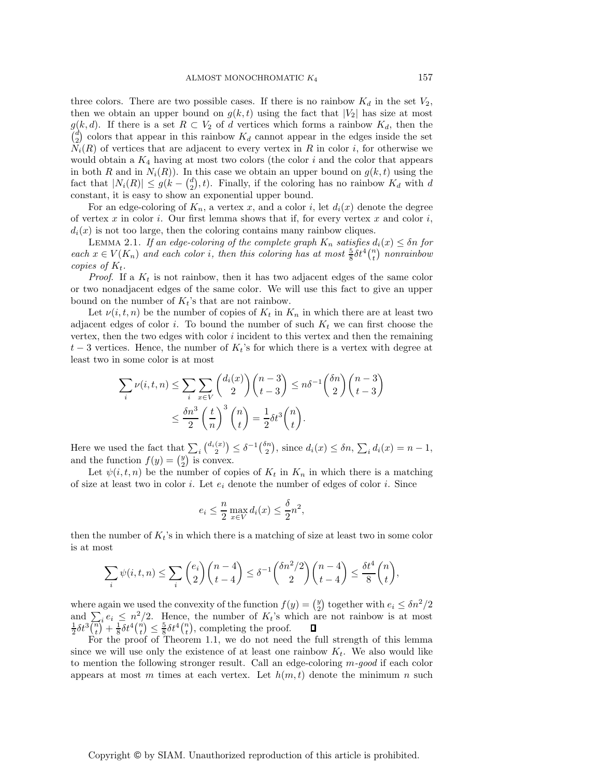three colors. There are two possible cases. If there is no rainbow  $K_d$  in the set  $V_2$ , then we obtain an upper bound on  $g(k, t)$  using the fact that  $|V_2|$  has size at most  $g(k, d)$ . If there is a set  $R \subset V_2$  of d vertices which forms a rainbow  $K_d$ , then the  $\binom{d}{2}$  colors that appear in this rainbow  $K_d$  cannot appear in the edges inside the set  $\overline{N}_i(R)$  of vertices that are adjacent to every vertex in R in color *i*, for otherwise we would obtain a  $K_4$  having at most two colors (the color i and the color that appears in both R and in  $N_i(R)$ ). In this case we obtain an upper bound on  $g(k, t)$  using the fact that  $|N_i(R)| \leq g(k - {d \choose 2}, t)$ . Finally, if the coloring has no rainbow  $K_d$  with d constant, it is easy to show an exponential upper bound.

For an edge-coloring of  $K_n$ , a vertex x, and a color i, let  $d_i(x)$  denote the degree of vertex  $x$  in color  $i$ . Our first lemma shows that if, for every vertex  $x$  and color  $i$ ,  $d_i(x)$  is not too large, then the coloring contains many rainbow cliques.

LEMMA 2.1. *If an edge-coloring of the complete graph*  $K_n$  *satisfies*  $d_i(x) \leq \delta n$  *for*  $each \ x \in V(K_n)$  *and each color i, then this coloring has at most*  $\frac{5}{8} \delta t^4 {n \choose t}$  *nonrainbow* conjes of K. *copies of*  $K_t$ .

*Proof.* If a  $K_t$  is not rainbow, then it has two adjacent edges of the same color or two nonadjacent edges of the same color. We will use this fact to give an upper bound on the number of  $K_t$ 's that are not rainbow.

Let  $\nu(i, t, n)$  be the number of copies of  $K_t$  in  $K_n$  in which there are at least two adjacent edges of color i. To bound the number of such  $K_t$  we can first choose the vertex, then the two edges with color  $i$  incident to this vertex and then the remaining  $t-3$  vertices. Hence, the number of  $K_t$ 's for which there is a vertex with degree at least two in some color is at most

$$
\sum_{i} \nu(i, t, n) \le \sum_{i} \sum_{x \in V} {d_i(x) \choose 2} {n-3 \choose t-3} \le n\delta^{-1} {\delta n \choose 2} {n-3 \choose t-3}
$$

$$
\le \frac{\delta n^3}{2} \left(\frac{t}{n}\right)^3 {n \choose t} = \frac{1}{2}\delta t^3 {n \choose t}.
$$

Here we used the fact that  $\sum_i \binom{d_i(x)}{2} \leq \delta^{-1} \binom{\delta n}{2}$ and the function  $f(y) = \binom{y}{2}$  is convex. ), since  $d_i(x) \leq \delta n$ ,  $\sum_i d_i(x) = n - 1$ ,

Let  $\psi(i, t, n)$  be the number of copies of  $K_t$  in  $K_n$  in which there is a matching of size at least two in color i. Let  $e_i$  denote the number of edges of color i. Since

$$
e_i \le \frac{n}{2} \max_{x \in V} d_i(x) \le \frac{\delta}{2} n^2,
$$

then the number of  $K_t$ 's in which there is a matching of size at least two in some color is at most

$$
\sum_{i} \psi(i, t, n) \le \sum_{i} {e_i \choose 2} {n-4 \choose t-4} \le \delta^{-1} { \delta n^2/2 \choose 2} {n-4 \choose t-4} \le \frac{\delta t^4}{8} {n \choose t},
$$

where again we used the convexity of the function  $f(y) = \binom{y}{2}$  together with  $e_i \leq \delta n^2/2$ and  $\sum_i e_i \leq n^2/2$ . Hence, the number of  $K_t$ 's which are not rainbow is at most  $\frac{1}{2}\delta t^3(\overline{n})^2 + \frac{1}{8}\delta t^4(\overline{n}) \leq \frac{5}{8}\delta t^4(\overline{n})$ , completing the proof.<br>For the proof of Theorem 1.1, we do not need

For the proof of Theorem 1.1, we do not need the full strength of this lemma since we will use only the existence of at least one rainbow  $K_t$ . We also would like to mention the following stronger result. Call an edge-coloring m*-good* if each color appears at most m times at each vertex. Let  $h(m, t)$  denote the minimum n such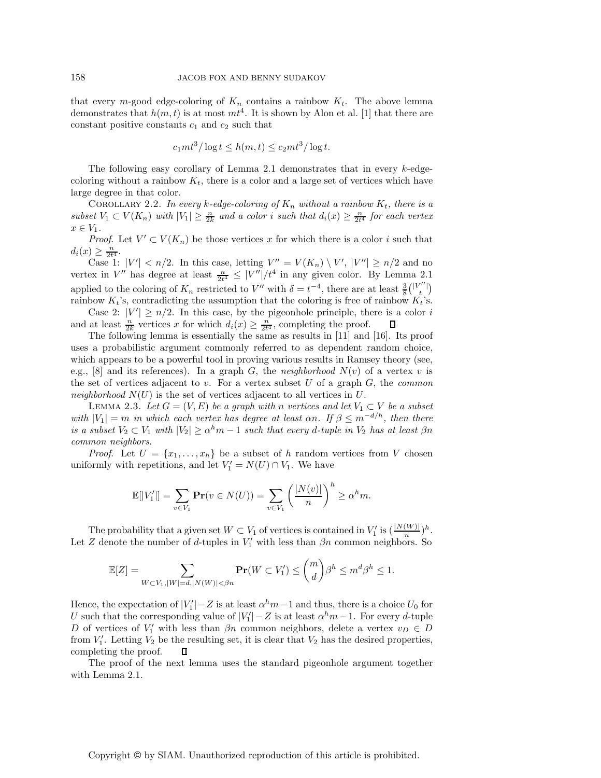that every m-good edge-coloring of  $K_n$  contains a rainbow  $K_t$ . The above lemma demonstrates that  $h(m, t)$  is at most  $mt^4$ . It is shown by Alon et al. [1] that there are constant positive constants  $c_1$  and  $c_2$  such that

$$
c_1mt^3/\log t \le h(m,t) \le c_2mt^3/\log t.
$$

The following easy corollary of Lemma 2.1 demonstrates that in every  $k$ -edgecoloring without a rainbow  $K_t$ , there is a color and a large set of vertices which have large degree in that color.

COROLLARY 2.2. In every k-edge-coloring of  $K_n$  without a rainbow  $K_t$ , there is a *subset*  $V_1 \subset V(K_n)$  *with*  $|V_1| \geq \frac{n}{2k}$  *and a color i such that*  $d_i(x) \geq \frac{n}{2t^4}$  *for each vertex*  $x \in V_1$  $x \in V_1$ .

*Proof.* Let  $V' \subset V(K_n)$  be those vertices x for which there is a color i such that  $d_i(x) \geq \frac{n}{2t^4}$ .<br>Case 1:  $|V'| < n/2$ . In this case, letting  $V'' = V(K_n) \setminus V'$ ,  $|V''| \geq n/2$  and no

vertex in V'' has degree at least  $\frac{n}{2t^4} \leq |V''|/t^4$  in any given color. By Lemma 2.1 applied to the coloring of  $K_n$  restricted to V'' with  $\delta = t^{-4}$ , there are at least  $\frac{3}{8} {|\mathcal{V}''| \choose t}$ rainbow  $K_t$ 's, contradicting the assumption that the coloring is free of rainbow  $K_t$ 's.

Case 2:  $|V'| \ge n/2$ . In this case, by the pigeonhole principle, there is a color i and at least  $\frac{n}{2k}$  vertices x for which  $d_i(x) \geq \frac{n}{2t^4}$ , completing the proof.<br>The following lemma is essentially the same as results in [11] and 0

The following lemma is essentially the same as results in [11] and [16]. Its proof uses a probabilistic argument commonly referred to as dependent random choice, which appears to be a powerful tool in proving various results in Ramsey theory (see, e.g., [8] and its references). In a graph G, the *neighborhood*  $N(v)$  of a vertex v is the set of vertices adjacent to v. For a vertex subset U of a graph G, the *common neighborhood*  $N(U)$  is the set of vertices adjacent to all vertices in U.

LEMMA 2.3. Let  $G = (V, E)$  be a graph with n vertices and let  $V_1 \subset V$  be a subset *with*  $|V_1| = m$  *in which each vertex has degree at least*  $\alpha n$ *. If*  $\beta \leq m^{-d/h}$ *, then there is a subset*  $V_2 \subset V_1$  *with*  $|V_2| \ge \alpha^h m - 1$  *such that every d-tuple in*  $V_2$  *has at least*  $\beta n$ *common neighbors.*

*Proof.* Let  $U = \{x_1, \ldots, x_h\}$  be a subset of h random vertices from V chosen uniformly with repetitions, and let  $V'_1 = N(U) \cap V_1$ . We have

$$
\mathbb{E}[|V_1'|] = \sum_{v \in V_1} \mathbf{Pr}(v \in N(U)) = \sum_{v \in V_1} \left(\frac{|N(v)|}{n}\right)^h \ge \alpha^h m.
$$

The probability that a given set  $W \subset V_1$  of vertices is contained in  $V'_1$  is  $\left(\frac{|N(W)|}{n}\right)h$ .<br>Z denote the number of d tuples in  $V'_1$  with less than  $\beta n$  common pointbors. So Let Z denote the number of d-tuples in  $V'_1$  with less than  $\beta n$  common neighbors. So

$$
\mathbb{E}[Z] = \sum_{W \subset V_1, |W| = d, |N(W)| < \beta n} \mathbf{Pr}(W \subset V_1') \le \binom{m}{d} \beta^h \le m^d \beta^h \le 1.
$$

Hence, the expectation of  $|V_1'| - Z$  is at least  $\alpha^h m - 1$  and thus, there is a choice  $U_0$  for  $U_0$  and the corresponding value of  $|V'| - Z$  is at least  $\alpha^h m - 1$ . For every d tuple U such that the corresponding value of  $|V_1'| - Z$  is at least  $\alpha^h m - 1$ . For every d-tuple  $D$  of vertices of  $V'$  with less than  $\beta n$  common pointbors, delete a vertex  $v_n \in D$ D of vertices of  $V_1'$  with less than  $\beta n$  common neighbors, delete a vertex  $v_D \in D$ <br>from  $V'$ . Letting  $V_0$  be the resulting set it is clear that  $V_0$  has the desired properties. from  $V_1'$ . Letting  $V_2$  be the resulting set, it is clear that  $V_2$  has the desired properties,<br>completing the proof completing the proof.

The proof of the next lemma uses the standard pigeonhole argument together with Lemma 2.1.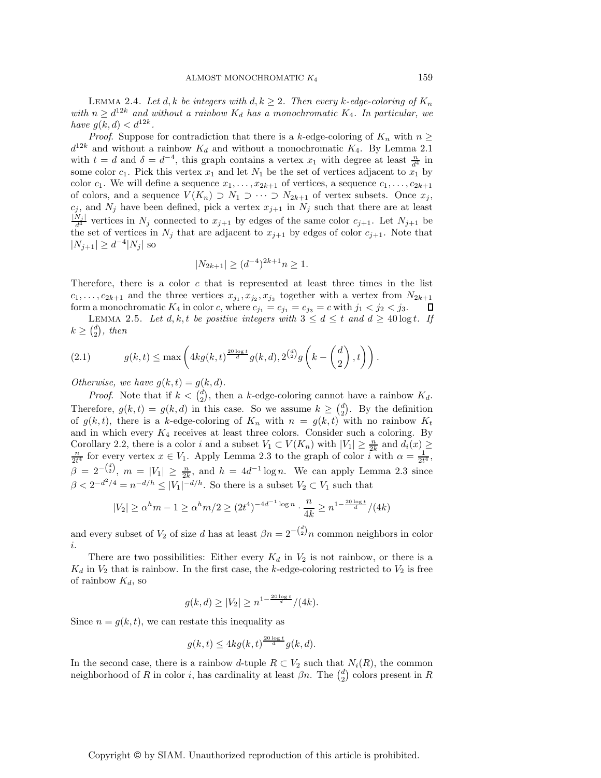LEMMA 2.4. Let  $d, k$  be integers with  $d, k \geq 2$ . Then every k-edge-coloring of  $K_n$ *with*  $n \geq d^{12k}$  *and without a rainbow*  $K_d$  *has a monochromatic*  $K_4$ *. In particular, we have*  $g(k, d) < d^{12k}$ *.* 

*Proof.* Suppose for contradiction that there is a k-edge-coloring of  $K_n$  with  $n \geq$  $d^{12k}$  and without a rainbow  $K_d$  and without a monochromatic  $K_4$ . By Lemma 2.1 with  $t = d$  and  $\delta = d^{-4}$ , this graph contains a vertex  $x_1$  with degree at least  $\frac{n}{d^4}$  in some color  $c_1$ . Pick this vertex  $x_1$  and let  $N_1$  be the set of vertices adjacent to  $x_1$  by color  $c_1$ . We will define a sequence  $x_1, \ldots, x_{2k+1}$  of vertices, a sequence  $c_1, \ldots, c_{2k+1}$ of colors, and a sequence  $V(K_n) \supset N_1 \supset \cdots \supset N_{2k+1}$  of vertex subsets. Once  $x_j$ ,  $c_j$ , and  $N_j$  have been defined, pick a vertex  $x_{j+1}$  in  $N_j$  such that there are at least  $\frac{|N_j|}{d^4}$  vertices in  $N_j$  connected to  $x_{j+1}$  by edges of the same color  $c_{j+1}$ . Let  $N_{j+1}$  be the same color of scaling  $N_j$ , that are adjacent to  $x_{j+1}$  by edges of sclape  $S$ . Note that the set of vertices in  $N_j$  that are adjacent to  $x_{j+1}$  by edges of color  $c_{j+1}$ . Note that  $|N_{j+1}| \geq d^{-4}|N_j|$  so

$$
|N_{2k+1}| \ge (d^{-4})^{2k+1} n \ge 1.
$$

Therefore, there is a color  $c$  that is represented at least three times in the list  $c_1, \ldots, c_{2k+1}$  and the three vertices  $x_{j_1}, x_{j_2}, x_{j_3}$  together with a vertex from  $N_{2k+1}$  form a monochromatic  $K_4$  in color c, where  $c_{j_1} = c_{j_1} = c_{j_2} = c$  with  $j_1 < j_2 < j_3$ . form a monochromatic  $K_4$  in color c, where  $c_{j_1} = c_{j_1} = c_{j_3} = c$  with  $j_1 < j_2 < j_3$ .

LEMMA 2.5. Let  $d, k, t$  be positive integers with  $3 \leq d \leq t$  and  $d \geq 40 \log t$ . If  $k \geq {d \choose 2}$ , then

(2.1) 
$$
g(k,t) \leq \max\left(4k g(k,t)^{\frac{20\log t}{d}} g(k,d), 2^{\binom{d}{2}} g\left(k-\binom{d}{2},t\right)\right).
$$

*Otherwise, we have*  $g(k, t) = g(k, d)$ *.* 

*Proof.* Note that if  $k < \binom{d}{2}$ , then a k-edge-coloring cannot have a rainbow  $K_d$ . Therefore,  $g(k,t) = g(k, d)$  in this case. So we assume  $k \geq {d \choose 2}$ . By the definition of  $g(k, t)$ , there is a k-edge-coloring of  $K_n$  with  $n = g(k, t)$  with no rainbow  $K_t$ and in which every  $K_4$  receives at least three colors. Consider such a coloring. By Corollary 2.2, there is a color i and a subset  $V_1 \subset V(K_n)$  with  $|V_1| \geq \frac{n}{2k}$  and  $d_i(x) \geq \frac{n}{2k}$  for every vertex  $x \in V$ . Apply Lemma 2.3 to the graph of color i with  $\alpha = \frac{1}{2k}$  $\frac{n}{2t^4}$  for every vertex  $x \in V_1$ . Apply Lemma 2.3 to the graph of color *i* with  $\alpha = \frac{1}{2t^4}$ ,  $\beta = 2^{-\binom{d}{2}}$ ,  $m = |V_1| \geq \frac{n}{2k}$ , and  $h = 4d^{-1} \log n$ . We can apply Lemma 2.3 since  $\beta < 2^{-d^2/4} = n^{-d/h} \le |V_1|^{-d/h}$ . So there is a subset  $V_2 \subset V_1$  such that

$$
|V_2| \ge \alpha^h m - 1 \ge \alpha^h m / 2 \ge (2t^4)^{-4d^{-1} \log n} \cdot \frac{n}{4k} \ge n^{1 - \frac{20 \log t}{d}} / (4k)
$$

and every subset of  $V_2$  of size d has at least  $\beta n = 2^{-\binom{d}{2}}n$  common neighbors in color i.

There are two possibilities: Either every  $K_d$  in  $V_2$  is not rainbow, or there is a  $K_d$  in  $V_2$  that is rainbow. In the first case, the k-edge-coloring restricted to  $V_2$  is free of rainbow  $K_d$ , so

$$
g(k,d) \ge |V_2| \ge n^{1 - \frac{20 \log t}{d}} / (4k).
$$

Since  $n = g(k, t)$ , we can restate this inequality as

$$
g(k,t) \le 4k g(k,t)^{\frac{20\log t}{d}} g(k,d).
$$

In the second case, there is a rainbow d-tuple  $R \subset V_2$  such that  $N_i(R)$ , the common neighborhood of R in color i, has cardinality at least  $\beta n$ . The  $\binom{d}{2}$  colors present in R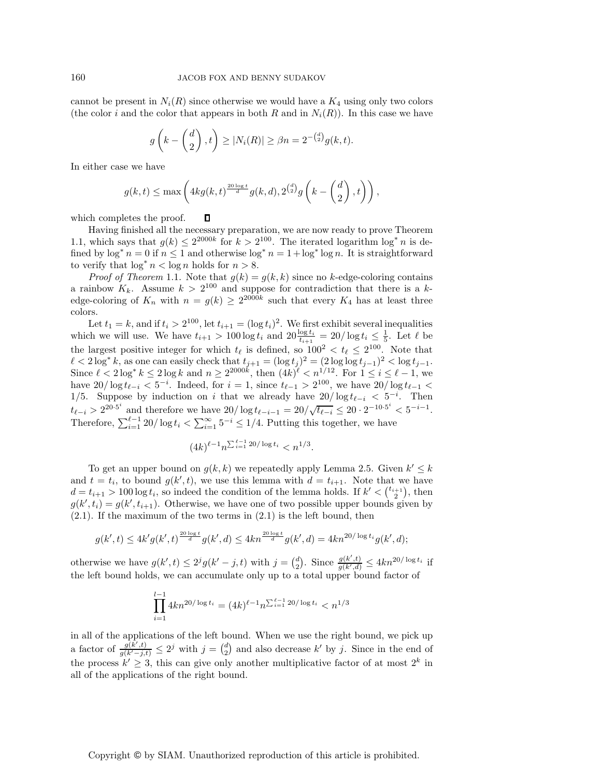cannot be present in  $N_i(R)$  since otherwise we would have a  $K_4$  using only two colors (the color i and the color that appears in both R and in  $N_i(R)$ ). In this case we have

$$
g\left(k - \binom{d}{2}, t\right) \ge |N_i(R)| \ge \beta n = 2^{-\binom{d}{2}}g(k, t).
$$

In either case we have

$$
g(k,t) \leq \max\left(4kg(k,t)^{\frac{20\log t}{d}}g(k,d), 2^{\binom{d}{2}}g\left(k-\binom{d}{2},t\right)\right),
$$

which completes the proof. Д

Having finished all the necessary preparation, we are now ready to prove Theorem 1.1, which says that  $g(k) \leq 2^{2000k}$  for  $k > 2^{100}$ . The iterated logarithm  $\log^* n$  is defined by  $\log^* n = 0$  if  $n \leq 1$  and otherwise  $\log^* n = 1 + \log^* \log n$ . It is straightforward to verify that  $\log^* n < \log n$  holds for  $n > 8$ .

*Proof of Theorem* 1.1. Note that  $q(k) = q(k, k)$  since no k-edge-coloring contains a rainbow  $K_k$ . Assume  $k > 2^{100}$  and suppose for contradiction that there is a kedge-coloring of  $K_n$  with  $n = g(k) \geq 2^{2000k}$  such that every  $K_4$  has at least three colors.

Let  $t_1 = k$ , and if  $t_i > 2^{100}$ , let  $t_{i+1} = (\log t_i)^2$ . We first exhibit several inequalities which we will use. We have  $t_{i+1} > 100 \log t_i$  and  $20 \frac{\log t_i}{t_{i+1}} = 20/\log t_i \leq \frac{1}{5}$ . Let  $\ell$  be the largest positive integer for which  $t_{\ell}$  is defined, so  $100^2 < t_{\ell} \leq 2^{100}$ . Note that  $\ell < 2 \log^* k$ , as one can easily check that  $t_{j+1} = (\log t_j)^2 = (2 \log \log t_{j-1})^2 < \log t_{j-1}$ .<br>Since  $\ell < 2 \log^* k \le 2 \log k$  and  $n \ge 2^{2000k}$ , then  $(4k)^\ell < n^{1/12}$ . For  $1 \le i \le \ell - 1$ , we have  $20/\log t_{\ell-i} < 5^{-i}$ . Indeed, for  $i = 1$ , since  $t_{\ell-1} > 2^{100}$ , we have  $20/\log t_{\ell-1} < 1/\epsilon$ . Suppose hy induction on i that we already have  $20/\log t$ 1/5. Suppose by induction on i that we already have  $20/\log t_{\ell-i} < 5^{-i}$ . Then  $t_{\ell-i} > 2^{20 \cdot 5^i}$  and therefore we have  $20/\log t_{\ell-i-1} = 20/\sqrt{t_{\ell-i}} \leq 20 \cdot 2^{-10 \cdot 5^i} < 5^{-i-1}$ . Therefore,  $\sum_{i=1}^{\ell-1} 20/\log t_i < \sum_{i=1}^{\infty} 5^{-i} \leq 1/4$ . Putting this together, we have

$$
(4k)^{\ell-1} n^{\sum_{i=1}^{\ell-1} 20/\log t_i} < n^{1/3}.
$$

To get an upper bound on  $g(k, k)$  we repeatedly apply Lemma 2.5. Given  $k' \leq k$ and  $t = t_i$ , to bound  $g(k', t)$ , we use this lemma with  $d = t_{i+1}$ . Note that we have  $d = t_{i+1} > 100 \log t_i$ , so indeed the condition of the lemma holds. If  $k' < {t_{i+1} \choose 2}$ , then  $g(k', t_i) = g(k', t_{i+1})$ . Otherwise, we have one of two possible upper bounds given by  $(2.1)$ . If the maximum of the two terms in  $(2.1)$  is the left bound, then

$$
g(k',t) \le 4k'g(k',t)^{\frac{20\log t}{d}}g(k',d) \le 4kn^{\frac{20\log t}{d}}g(k',d) = 4kn^{20/\log t_i}g(k',d);
$$

otherwise we have  $g(k',t) \leq 2^{j}g(k'-j,t)$  with  $j = \binom{d}{2}$ . Since  $\frac{g(k',t)}{g(k',t)}$ the left bound holds, we can accumulate only up to a total upper bound factor of  $\frac{g(k',t)}{g(k',d)} \leq 4kn^{20/\log t_i}$  if

$$
\prod_{i=1}^{l-1} 4kn^{20/\log t_i} = (4k)^{\ell-1} n^{\sum_{i=1}^{\ell-1} 20/\log t_i} < n^{1/3}
$$

in all of the applications of the left bound. When we use the right bound, we pick up a factor of  $\frac{g(k',t)}{g(k'-1)}$  $\frac{g(k',t)}{g(k'-j,t)} \leq 2^j$  with  $j = \binom{d}{2}$  and also decrease k' by j. Since in the end of the process  $k' \geq 3$ , this can give only another multiplicative factor of at most  $2^k$  in all of the applications of the right bound.

## Copyright © by SIAM. Unauthorized reproduction of this article is prohibited.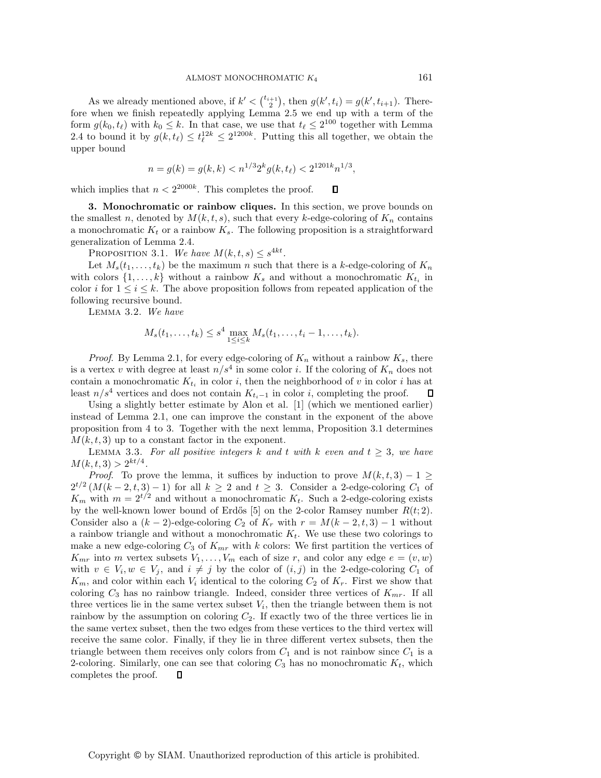As we already mentioned above, if  $k' < {t_{i+1} \choose 2}$ , then  $g(k', t_i) = g(k', t_{i+1})$ . There 2 fore when we finish repeatedly applying Lemma 2.5 we end up with a term of the form  $g(k_0, t_\ell)$  with  $k_0 \leq k$ . In that case, we use that  $t_\ell \leq 2^{100}$  together with Lemma 2.4 to bound it by  $g(k, t_\ell) \leq t_\ell^{12k} \leq 2^{1200k}$ . Putting this all together, we obtain the upper bound

$$
n = g(k) = g(k, k) < n^{1/3} 2^k g(k, t_\ell) < 2^{1201k} n^{1/3},
$$

 $\Box$ 

which implies that  $n < 2^{2000k}$ . This completes the proof.

**3. Monochromatic or rainbow cliques.** In this section, we prove bounds on the smallest n, denoted by  $M(k, t, s)$ , such that every k-edge-coloring of  $K_n$  contains a monochromatic  $K_t$  or a rainbow  $K_s$ . The following proposition is a straightforward generalization of Lemma 2.4.

PROPOSITION 3.1. We have  $M(k, t, s) \leq s^{4kt}$ .

Let  $M_s(t_1,\ldots,t_k)$  be the maximum n such that there is a k-edge-coloring of  $K_n$ with colors  $\{1,\ldots,k\}$  without a rainbow  $K_s$  and without a monochromatic  $K_t$  in color i for  $1 \leq i \leq k$ . The above proposition follows from repeated application of the following recursive bound.

Lemma 3.2. *We have*

$$
M_s(t_1,...,t_k) \leq s^4 \max_{1 \leq i \leq k} M_s(t_1,...,t_i-1,...,t_k).
$$

*Proof.* By Lemma 2.1, for every edge-coloring of  $K_n$  without a rainbow  $K_s$ , there is a vertex v with degree at least  $n/s<sup>4</sup>$  in some color i. If the coloring of  $K_n$  does not contain a monochromatic  $K_{t_i}$  in color i, then the neighborhood of v in color i has at least  $n/s^4$  vertices and does not contain  $K_{t_i-1}$  in color *i*, completing the proof.  $\Box$ 

Using a slightly better estimate by Alon et al. [1] (which we mentioned earlier) instead of Lemma 2.1, one can improve the constant in the exponent of the above proposition from 4 to 3. Together with the next lemma, Proposition 3.1 determines  $M(k, t, 3)$  up to a constant factor in the exponent.

LEMMA 3.3. For all positive integers k and t with k even and  $t \geq 3$ , we have  $M(k, t, 3) > 2^{kt/4}.$ 

*Proof.* To prove the lemma, it suffices by induction to prove  $M(k, t, 3) - 1 \geq$  $2^{t/2} (M(k-2, t, 3) - 1)$  for all  $k \geq 2$  and  $t \geq 3$ . Consider a 2-edge-coloring  $C_1$  of  $K_m$  with  $m = 2^{t/2}$  and without a monochromatic  $K_t$ . Such a 2-edge-coloring exists by the well-known lower bound of Erdős [5] on the 2-color Ramsey number  $R(t, 2)$ . Consider also a  $(k-2)$ -edge-coloring  $C_2$  of  $K_r$  with  $r = M(k-2, t, 3) - 1$  without a rainbow triangle and without a monochromatic  $K_t$ . We use these two colorings to make a new edge-coloring  $C_3$  of  $K_{mr}$  with k colors: We first partition the vertices of  $K_{mr}$  into m vertex subsets  $V_1, \ldots, V_m$  each of size r, and color any edge  $e = (v, w)$ with  $v \in V_i, w \in V_j$ , and  $i \neq j$  by the color of  $(i, j)$  in the 2-edge-coloring  $C_1$  of  $K$  and solor within soch  $V_i$  identical to the soloring  $C_i$  of  $K$ . First we show that  $K_m$ , and color within each  $V_i$  identical to the coloring  $C_2$  of  $K_r$ . First we show that coloring  $C_3$  has no rainbow triangle. Indeed, consider three vertices of  $K_{mr}$ . If all three vertices lie in the same vertex subset  $V_i$ , then the triangle between them is not rainbow by the assumption on coloring  $C_2$ . If exactly two of the three vertices lie in the same vertex subset, then the two edges from these vertices to the third vertex will receive the same color. Finally, if they lie in three different vertex subsets, then the triangle between them receives only colors from  $C_1$  and is not rainbow since  $C_1$  is a 2-coloring. Similarly, one can see that coloring  $C_3$  has no monochromatic  $K_t$ , which completes the proof  $\qquad \qquad \Box$ completes the proof.